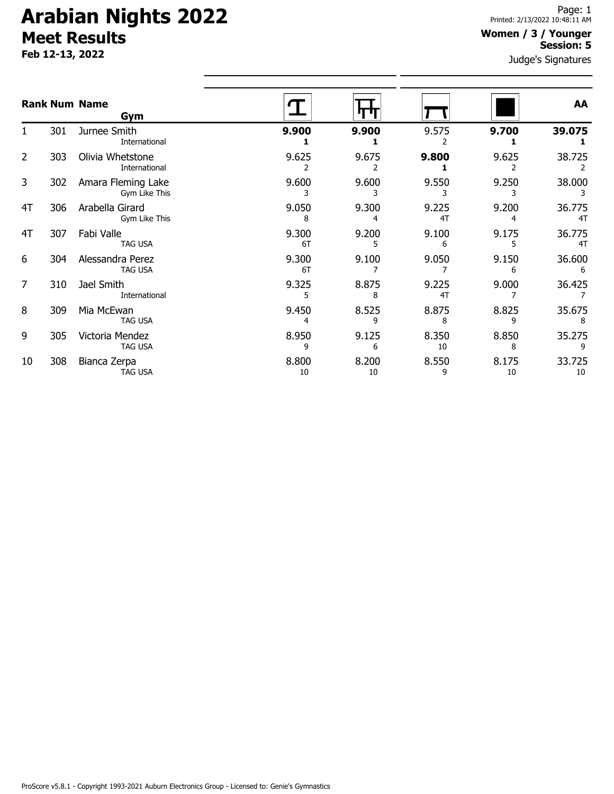# **Arabian Nights 2022 Meet Results**

**Feb 12-13, 2022**

#### **Women / 3 / Younger Session: 5**

Judge's Signatures

|                |     | <b>Rank Num Name</b><br>Gym         |             |             |             |             | AA           |
|----------------|-----|-------------------------------------|-------------|-------------|-------------|-------------|--------------|
|                | 301 | Jurnee Smith<br>International       | 9.900       | 9.900       | 9.575       | 9.700       | 39.075       |
| $\overline{2}$ | 303 | Olivia Whetstone<br>International   | 9.625       | 9.675       | 9.800       | 9.625       | 38.725       |
| 3              | 302 | Amara Fleming Lake<br>Gym Like This | 9.600       | 9.600       | 9.550       | 9.250       | 38.000       |
| 4T             | 306 | Arabella Girard<br>Gym Like This    | 9.050<br>8  | 9.300       | 9.225<br>4T | 9.200       | 36.775<br>4T |
| 4T             | 307 | Fabi Valle<br><b>TAG USA</b>        | 9.300<br>6T | 9.200       | 9.100<br>6  | 9.175       | 36.775<br>4T |
| 6              | 304 | Alessandra Perez<br><b>TAG USA</b>  | 9.300<br>6T | 9.100       | 9.050       | 9.150<br>6  | 36.600<br>6  |
| 7              | 310 | Jael Smith<br>International         | 9.325<br>5  | 8.875<br>8  | 9.225<br>4T | 9.000       | 36.425       |
| 8              | 309 | Mia McEwan<br><b>TAG USA</b>        | 9.450<br>4  | 8.525<br>٩  | 8.875<br>8  | 8.825<br>٩  | 35.675<br>8  |
| 9              | 305 | Victoria Mendez<br><b>TAG USA</b>   | 8.950<br>٩  | 9.125<br>6  | 8.350<br>10 | 8.850<br>8  | 35.275<br>9  |
| 10             | 308 | Bianca Zerpa<br>TAG USA             | 8.800<br>10 | 8.200<br>10 | 8.550<br>9  | 8.175<br>10 | 33.725<br>10 |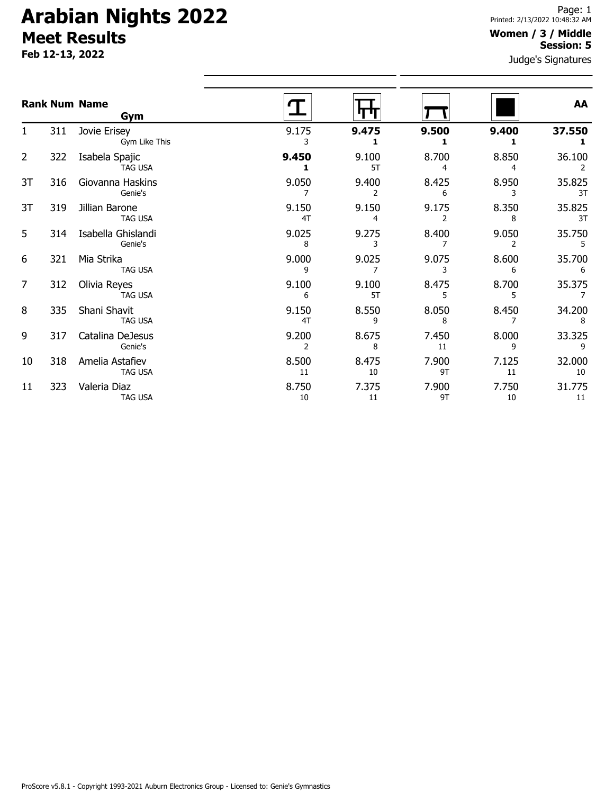# **Arabian Nights 2022 Meet Results**

**Feb 12-13, 2022**

#### **Women / 3 / Middle Session: 5**

Judge's Signatures

|                |     | <b>Rank Num Name</b><br>Gym       |             |             |             |             | AA           |
|----------------|-----|-----------------------------------|-------------|-------------|-------------|-------------|--------------|
|                | 311 | Jovie Erisey<br>Gym Like This     | 9.175       | 9.475       | 9.500       | 9.400       | 37.550       |
| $\overline{2}$ | 322 | Isabela Spajic<br><b>TAG USA</b>  | 9.450       | 9.100<br>5T | 8.700<br>4  | 8.850<br>4  | 36.100       |
| 3T             | 316 | Giovanna Haskins<br>Genie's       | 9.050       | 9.400<br>2  | 8.425<br>6  | 8.950<br>3  | 35.825<br>3T |
| 3T             | 319 | Jillian Barone<br><b>TAG USA</b>  | 9.150<br>4T | 9.150<br>4  | 9.175<br>2  | 8.350<br>8  | 35.825<br>3T |
| 5              | 314 | Isabella Ghislandi<br>Genie's     | 9.025<br>8  | 9.275<br>3  | 8.400       | 9.050<br>2  | 35.750<br>5  |
| 6              | 321 | Mia Strika<br>TAG USA             | 9.000<br>9  | 9.025       | 9.075<br>3  | 8.600<br>6  | 35.700<br>6  |
| 7              | 312 | Olivia Reyes<br><b>TAG USA</b>    | 9.100<br>6  | 9.100<br>5T | 8.475<br>5  | 8.700<br>5  | 35.375       |
| 8              | 335 | Shani Shavit<br><b>TAG USA</b>    | 9.150<br>4T | 8.550<br>9  | 8.050<br>8  | 8.450       | 34.200<br>8  |
| 9              | 317 | Catalina DeJesus<br>Genie's       | 9.200       | 8.675<br>8  | 7.450<br>11 | 8.000<br>9  | 33.325<br>9  |
| 10             | 318 | Amelia Astafiev<br><b>TAG USA</b> | 8.500<br>11 | 8.475<br>10 | 7.900<br>9T | 7.125<br>11 | 32.000<br>10 |
| 11             | 323 | Valeria Diaz<br>TAG USA           | 8.750<br>10 | 7.375<br>11 | 7.900<br>9T | 7.750<br>10 | 31.775<br>11 |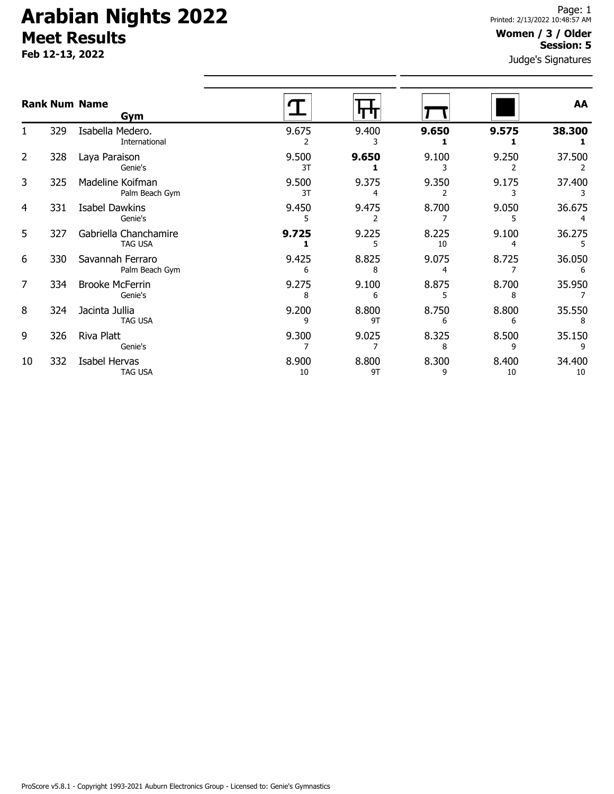# **Arabian Nights 2022 Meet Results**

**Feb 12-13, 2022**

### **Women / 3 / Older Session: 5**

Judge's Signatures

|                |     | <b>Rank Num Name</b><br>Gym             |             |             |             |             | AA           |
|----------------|-----|-----------------------------------------|-------------|-------------|-------------|-------------|--------------|
|                | 329 | Isabella Medero.<br>International       | 9.675       | 9.400       | 9.650       | 9.575       | 38.300       |
| $\overline{2}$ | 328 | Laya Paraison<br>Genie's                | 9.500<br>3T | 9.650       | 9.100       | 9.250       | 37.500       |
| 3              | 325 | Madeline Koifman<br>Palm Beach Gym      | 9.500<br>3T | 9.375<br>4  | 9.350       | 9.175       | 37.400       |
| 4              | 331 | <b>Isabel Dawkins</b><br>Genie's        | 9.450       | 9.475<br>2  | 8.700       | 9.050       | 36.675       |
| 5              | 327 | Gabriella Chanchamire<br><b>TAG USA</b> | 9.725       | 9.225<br>5  | 8.225<br>10 | 9.100<br>4  | 36.275       |
| 6              | 330 | Savannah Ferraro<br>Palm Beach Gym      | 9.425<br>6  | 8.825<br>8  | 9.075<br>4  | 8.725       | 36.050<br>6  |
| $\overline{7}$ | 334 | <b>Brooke McFerrin</b><br>Genie's       | 9.275<br>8  | 9.100<br>6  | 8.875<br>5  | 8.700<br>8  | 35.950       |
| 8              | 324 | Jacinta Jullia<br><b>TAG USA</b>        | 9.200<br>9  | 8.800<br>9T | 8.750<br>6  | 8.800<br>6  | 35.550<br>8  |
| 9              | 326 | Riva Platt<br>Genie's                   | 9.300       | 9.025       | 8.325<br>8  | 8.500<br>٩  | 35.150<br>9  |
| 10             | 332 | Isabel Hervas<br>TAG USA                | 8.900<br>10 | 8.800<br>9T | 8.300<br>9  | 8.400<br>10 | 34.400<br>10 |